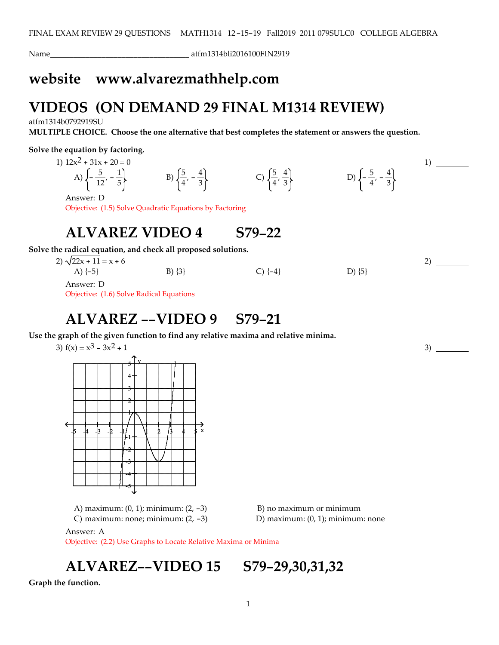Name\_\_\_\_\_\_\_\_\_\_\_\_\_\_\_\_\_\_\_\_\_\_\_\_\_\_\_\_\_\_\_\_\_\_\_ atfm1314bli2016100FIN2919

## **website www.alvarezmathhelp.com**

# **VIDEOS (ON DEMAND 29 FINAL M1314 REVIEW)**

atfm1314b0792919SU

**MULTIPLE CHOICE. Choose the one alternative that best completes the statement or answers the question.**

### **Solve the equation by factoring.**

1)  $12x^2 + 31x + 20 = 0$ 

A)  $\left\{-\frac{5}{12}, -\frac{1}{5}\right\}$  B)  $\left\{\frac{5}{4}, -\frac{4}{3}\right\}$  C)  $\left\{\frac{5}{4}, \frac{4}{3}\right\}$  D)  $\left\{-\frac{5}{4}, -\frac{4}{3}\right\}$ 

Answer: D

Objective: (1.5) Solve Quadratic Equations by Factoring

### **ALVAREZ VIDEO 4 S79-22**

**Solve the radical equation, and check all proposed solutions.**

2)  $\sqrt{22x + 11} = x + 6$ A)  $\{-5\}$  B)  $\{3\}$  C)  $\{-4\}$  D)  $\{5\}$ Answer: D

Objective: (1.6) Solve Radical Equations

## **ALVAREZ --VIDEO 9 S79-21**

**Use the graph of the given function to find any relative maxima and relative minima.**

3)  $f(x) = x^3 - 3x^2 + 1$ -5 -4 -3 -2 -1 1 2 3 4 5 x  $\frac{1}{5}$  y 4 3 2 1 -1 -2 -3 -4 -5

> A) maximum:  $(0, 1)$ ; minimum:  $(2, -3)$  B) no maximum or minimum C) maximum: none; minimum:  $(2, -3)$  D) maximum:  $(0, 1)$ ; minimum: none

1)

2)

3)

Answer: A

Objective: (2.2) Use Graphs to Locate Relative Maxima or Minima

**ALVAREZ--VIDEO 15 S79-29,30,31,32**

**Graph the function.**

1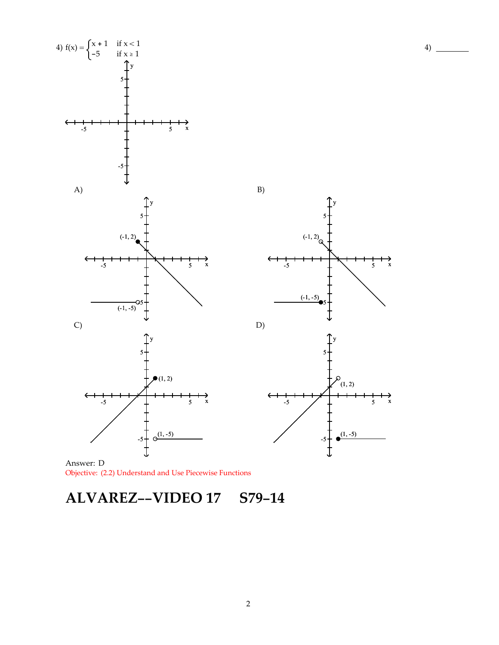



Answer: D Objective: (2.2) Understand and Use Piecewise Functions

**ALVAREZ--VIDEO 17 S79-14**

4)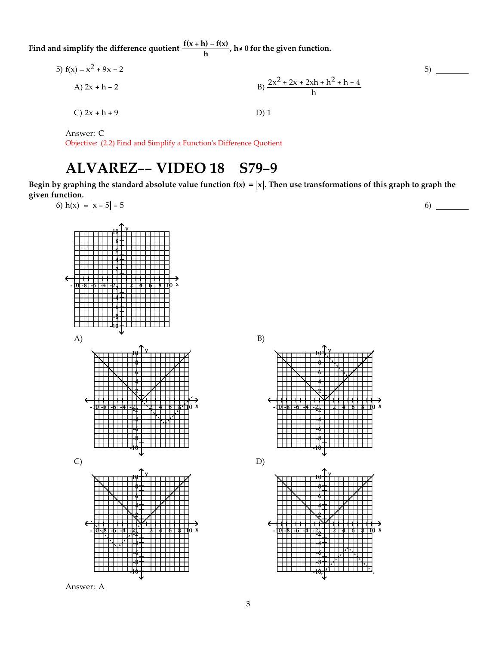**Find** and simplify the difference quotient  $\frac{f(x+h) - f(x)}{h}$ ,  $h \neq 0$  for the given function.

5) 
$$
f(x) = x^2 + 9x - 2
$$
  
\nA)  $2x + h - 2$   
\nB)  $\frac{2x^2 + 2x + 2xh + h^2 + h - 4}{h}$   
\nC)  $2x + h + 9$   
\nD) 1

Answer: C

Objective: (2.2) Find and Simplify a Functionʹs Difference Quotient

# **ALVAREZ-- VIDEO 18 S79-9**

Begin by graphing the standard absolute value function  $f(x) = |x|$ . Then use transformations of this graph to graph the **given function.** 6)



Answer: A

B) -10 -8 -6 -4 -2 2 4 6 8 10 x  $10 + Y$ 8 6 4 2 -2 -4 -6 -8 -10 D) - <u>t<del>ol-8 |-6 |-4 |-2 | 1 | 2 | 4 | 4 | 6 | 8 | 1</del>0 x</u>  $10$   $\frac{1}{7}$ 8 6 4 2 -2 -4 -6 -8 -10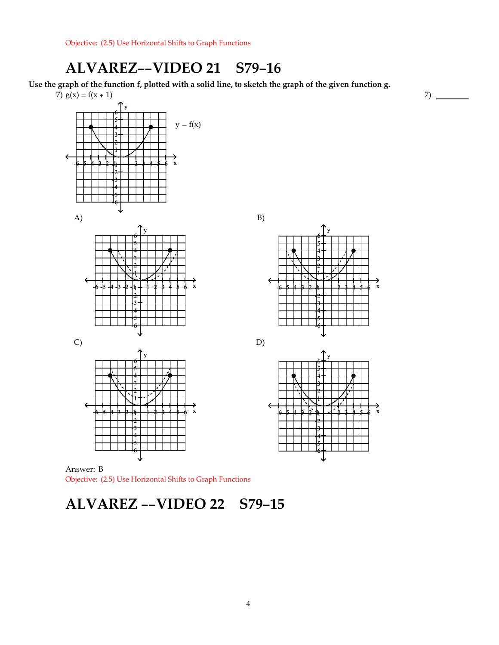## **ALVAREZ--VIDEO 21 S79-16**

Use the graph of the function f, plotted with a solid line, to sketch the graph of the given function g.

7)







Answer: B Objective: (2.5) Use Horizontal Shifts to Graph Functions

### **ALVAREZ --VIDEO 22 S79-15**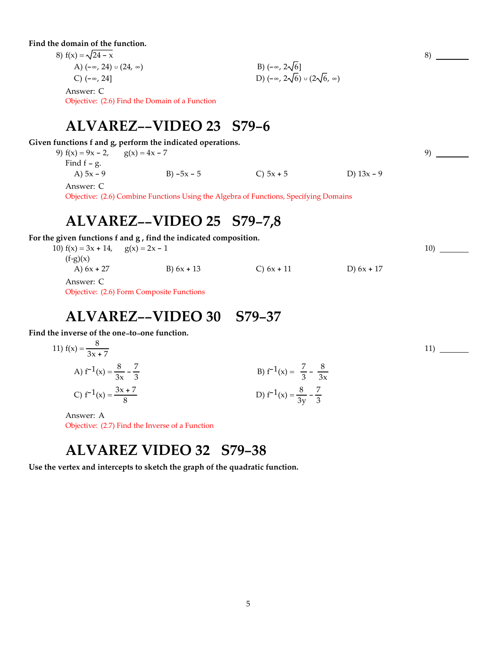**Find the domain of the function.**

| 8) $f(x) = \sqrt{24 - x}$            |                                                    |
|--------------------------------------|----------------------------------------------------|
| A) $(-\infty, 24) \cup (24, \infty)$ | B) $(-\infty, 2\sqrt{6}]$                          |
| C) $(-\infty, 24]$                   | D) $(-\infty, 2\sqrt{6}) \cup (2\sqrt{6}, \infty)$ |
| Answer: C                            |                                                    |

Objective: (2.6) Find the Domain of a Function

### **ALVAREZ--VIDEO 23 S79-6**

**Given functions f and g, perform the indicated operations.**

9)  $f(x) = 9x - 2$ ,  $g(x) = 4x - 7$ Find  $f - g$ . A)  $5x - 9$  B)  $-5x - 5$  C)  $5x + 5$  D)  $13x - 9$  8)

9)

10)

11)

Answer: C

Objective: (2.6) Combine Functions Using the Algebra of Functions, Specifying Domains

### **ALVAREZ--VIDEO 25 S79-7,8**

**For the given functions f and g , find the indicated composition.**

| 10) $f(x) = 3x + 14$ , $g(x) = 2x - 1$ |              |              |              |
|----------------------------------------|--------------|--------------|--------------|
| $(f \circ g)(x)$                       |              |              |              |
| A) $6x + 27$                           | B) $6x + 13$ | C) $6x + 11$ | D) $6x + 17$ |
| Answer: C                              |              |              |              |

Objective: (2.6) Form Composite Functions

### **ALVAREZ--VIDEO 30 S79-37**

**Find the inverse of the one-to-one function.**

11) 
$$
f(x) = \frac{8}{3x + 7}
$$
  
\nA)  $f^{-1}(x) = \frac{8}{3x} - \frac{7}{3}$   
\nB)  $f^{-1}(x) = \frac{7}{3} - \frac{8}{3x}$   
\nC)  $f^{-1}(x) = \frac{3x + 7}{8}$   
\nD)  $f^{-1}(x) = \frac{8}{3y} - \frac{7}{3}$ 

Answer: A Objective: (2.7) Find the Inverse of a Function

## **ALVAREZ VIDEO 32 S79-38**

**Use the vertex and intercepts to sketch the graph of the quadratic function.**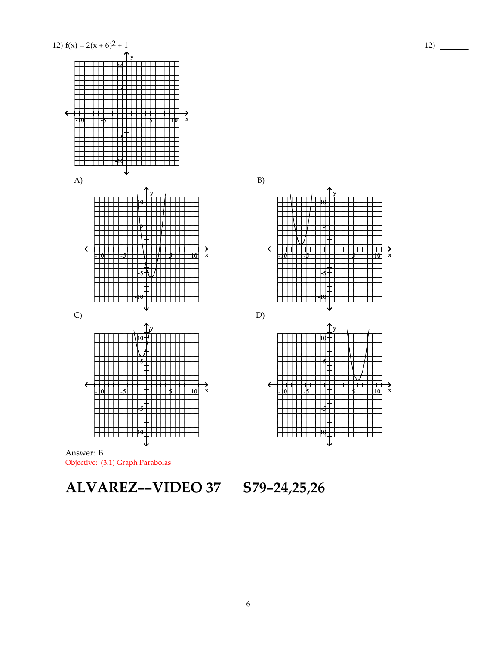

**ALVAREZ--VIDEO 37 S79-24,25,26**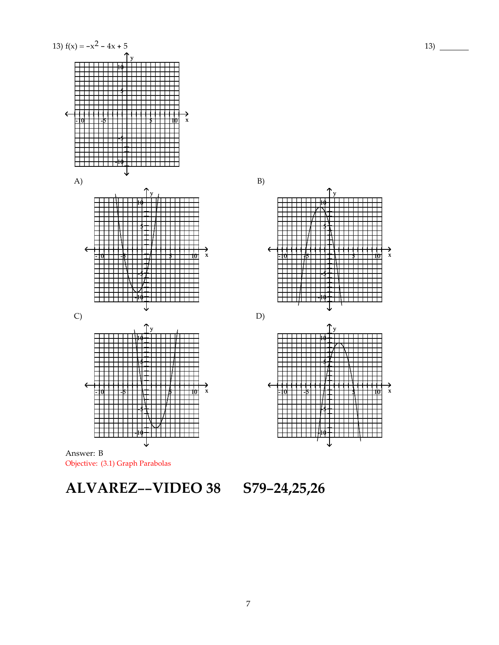

**ALVAREZ--VIDEO 38 S79-24,25,26**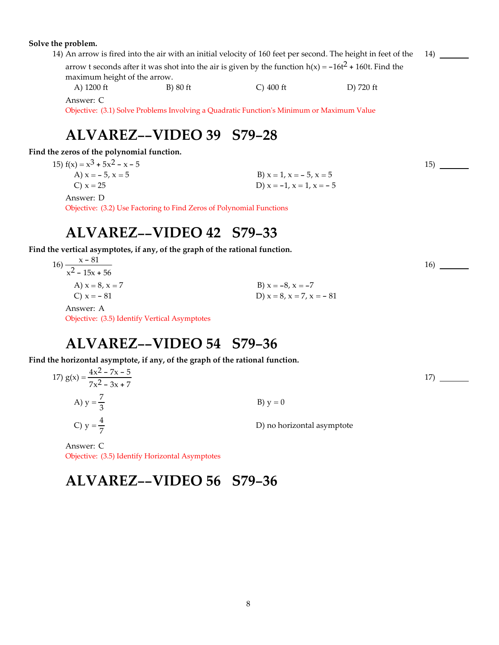#### **Solve the problem.**

14) An arrow is fired into the air with an initial velocity of 160 feet per second. The height in feet of the arrow t seconds after it was shot into the air is given by the function  $h(x) = -16t^2 + 160t$ . Find the maximum height of the arrow. A) 1200 ft B) 80 ft C) 400 ft D) 720 ft 14)

Answer: C

Objective: (3.1) Solve Problems Involving a Quadratic Functionʹs Minimum or Maximum Value

## **ALVAREZ--VIDEO 39 S79-28**

**Find the zeros of the polynomial function.**

15)  $f(x) = x^3 + 5x^2 - x - 5$ 

A)  $x = -5$ ,  $x = 5$  B)  $x = 1$ ,  $x = -5$ ,  $x = 5$ C)  $x = 25$  D)  $x = -1$ ,  $x = 1$ ,  $x = -5$ 

Answer: D

Objective: (3.2) Use Factoring to Find Zeros of Polynomial Functions

### **ALVAREZ--VIDEO 42 S79-33**

**Find the vertical asymptotes, if any, of the graph of the rational function.**

| x – 81                              |                                  |
|-------------------------------------|----------------------------------|
| $16) \frac{x - 81}{x^2 - 15x + 56}$ |                                  |
| A) $x = 8, x = 7$                   | B) $x = -8$ , $x = -7$           |
| C) $x = -81$                        | D) $x = 8$ , $x = 7$ , $x = -81$ |
| $\sqrt{2}$                          |                                  |

Answer: A Objective: (3.5) Identify Vertical Asymptotes

### **ALVAREZ--VIDEO 54 S79-36**

**Find the horizontal asymptote, if any, of the graph of the rational function.**

17)  $g(x) = \frac{4x^2 - 7x - 5}{x^2 - 2x + 5}$  $7x^2 - 3x + 7$ A)  $y = \frac{7}{3}$  $\frac{7}{3}$  B) y = 0 C)  $y = \frac{4}{7}$ D) no horizontal asymptote 17)

Answer: C Objective: (3.5) Identify Horizontal Asymptotes

# **ALVAREZ--VIDEO 56 S79-36**

15)

16)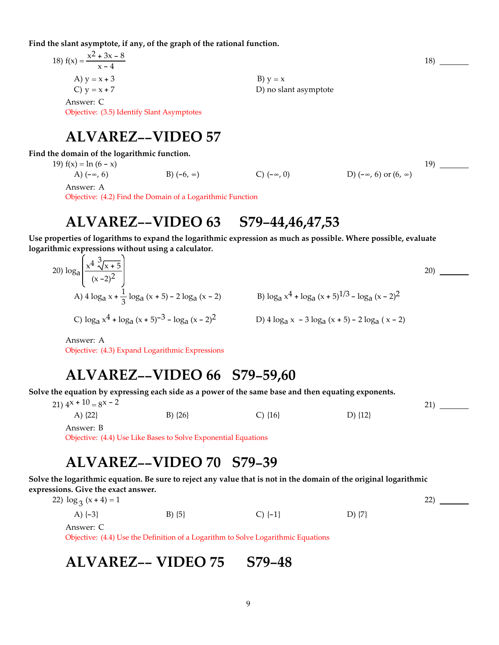**Find the slant asymptote, if any, of the graph of the rational function.**

| 18) $f(x) = \frac{x^2 + 3x - 8}{x - 4}$    |                       | 18) |
|--------------------------------------------|-----------------------|-----|
| A) $y = x + 3$                             | B) $y = x$            |     |
| C) $y = x + 7$                             | D) no slant asymptote |     |
| Answer: C                                  |                       |     |
| Objective: (3.5) Identify Slant Asymptotes |                       |     |
|                                            |                       |     |
| <b>ALVAREZ--VIDEO 57</b>                   |                       |     |

### **Find the domain of the logarithmic function.**

19)  $f(x) = \ln (6 - x)$ 

A)  $(-\infty, 6)$  B)  $(-6, \infty)$  C)  $(-\infty, 0)$  D)  $(-\infty, 6)$  or  $(6, \infty)$ 

Answer: A

Objective: (4.2) Find the Domain of a Logarithmic Function

### **ALVAREZ--VIDEO 63 S79-44,46,47,53**

**Use properties of logarithms to expand the logarithmic expression as much as possible. Where possible, evaluate logarithmic expressions without using a calculator.**

20) loga  $x^4 \sqrt[3]{x+5}$  $(x - 2)^2$ A)  $4 \log_a x + \frac{1}{3} \log_a (x + 5) - 2 \log_a (x - 2)$  B)  $\log_a x^4 + \log_a (x + 5)^{1/3} - \log_a (x - 2)^2$ C)  $\log_{a} x^{4} + \log_{a} (x+5)^{-3} - \log_{a} (x-2)^{2}$  D)  $4 \log_{a} x - 3 \log_{a} (x+5) - 2 \log_{a} (x-2)$ 

Answer: A

Objective: (4.3) Expand Logarithmic Expressions

### **ALVAREZ--VIDEO 66 S79-59,60**

Solve the equation by expressing each side as a power of the same base and then equating exponents.

21)  $4^x + 10 = 8^x - 2$ 

Answer: B

A)  $\{22\}$  B)  $\{26\}$  C)  $\{16\}$  D)  $\{12\}$ 

21)

 $19)$  —

20)

Objective: (4.4) Use Like Bases to Solve Exponential Equations

### **ALVAREZ--VIDEO 70 S79-39**

Solve the logarithmic equation. Be sure to reject any value that is not in the domain of the original logarithmic **expressions. Give the exact answer.**

| 22) $\log_3(x+4) = 1$ |            |          |            | 22) |
|-----------------------|------------|----------|------------|-----|
| A) $\{-3\}$           | $B) \{5\}$ | $C$ {-1} | D) $\{7\}$ |     |
| Answer: C             |            |          |            |     |

Objective: (4.4) Use the Definition of a Logarithm to Solve Logarithmic Equations

# **ALVAREZ-- VIDEO 75 S79-48**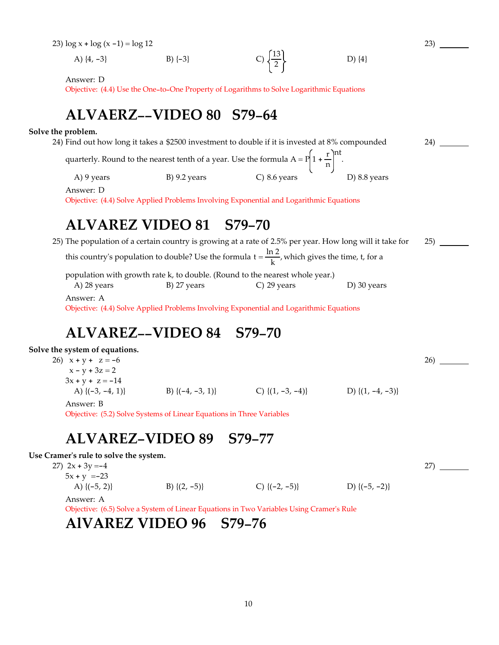23)  $\log x + \log (x - 1) = \log 12$ 

A)  $\{4, -3\}$  B)  $\{-3\}$  C)  $\left\{\frac{13}{2}\right\}$  D)  $\{4\}$ 

Answer: D

Objective: (4.4) Use the One-to-One Property of Logarithms to Solve Logarithmic Equations

## **ALVAERZ--VIDEO 80 S79-64**

### **Solve the problem.**

|            | 24) Find out how long it takes a \$2500 investment to double if it is invested at 8% compounded             |                |              | 24) |
|------------|-------------------------------------------------------------------------------------------------------------|----------------|--------------|-----|
|            | quarterly. Round to the nearest tenth of a year. Use the formula $A = P\left(1 + \frac{r}{n}\right)^{nt}$ . |                |              |     |
| A) 9 years | $B)$ 9.2 years                                                                                              | $C)$ 8.6 years | D) 8.8 years |     |
| Answer: D  | Objective: (4.4) Solve Applied Problems Involving Exponential and Logarithmic Equations                     |                |              |     |
|            | ALVAREZ VIDEO 81 S79-70                                                                                     |                |              |     |

23)

26)

27)

### 25) The population of a certain country is growing at a rate of 2.5% per year. How long will it take for this country's population to double? Use the formula  $t = \frac{\ln 2}{k}$ , which gives the time, t, for a population with growth rate k, to double. (Round to the nearest whole year.) A) 28 years B) 27 years C) 29 years D) 30 years 25) Answer: A

Objective: (4.4) Solve Applied Problems Involving Exponential and Logarithmic Equations

# **ALVAREZ--VIDEO 84 S79-70**

### **Solve the system of equations.**

26)  $x + y + z = -6$  $x - y + 3z = 2$  $3x + y + z = -14$ A)  $\{(-3, -4, 1)\}$  B)  $\{(-4, -3, 1)\}$  C)  $\{1, -3, -4\}$  D)  $\{1, -4, -3\}$ Answer: B

Objective: (5.2) Solve Systems of Linear Equations in Three Variables

### **ALVAREZ-VIDEO 89 S79-77**

**Use Cramerʹs rule to solve the system.**

27)  $2x + 3y = -4$  $5x + y = -23$ A)  $\{(-5, 2)\}$  B)  $\{(2, -5)\}$  C)  $\{(-2, -5)\}$  D)  $\{(-5, -2)\}$ 

Answer: A

Objective: (6.5) Solve a System of Linear Equations in Two Variables Using Cramerʹs Rule

### **AlVAREZ VIDEO 96 S79-76**